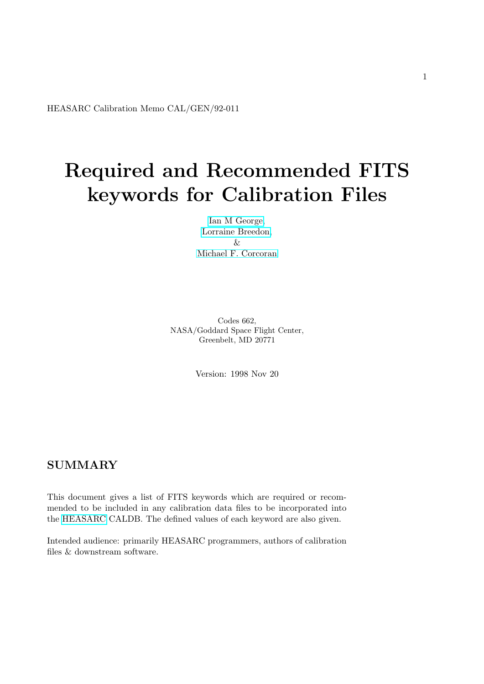<span id="page-0-0"></span>HEASARC Calibration Memo CAL/GEN/92-011

# Required and Recommended FITS keywords for Calibration Files

[Ian M George,](/docs/bios/imgeorge.html) [Lorraine Breedon,](/docs/bios/lbreedon.html) & [Michael F. Corcoran](http://lheawww.gsfc.nasa.gov/users/corcoran/bio.html)

Codes 662, NASA/Goddard Space Flight Center, Greenbelt, MD 20771

Version: 1998 Nov 20

# SUMMARY

This document gives a list of FITS keywords which are required or recommended to be included in any calibration data files to be incorporated into the [HEASARC](http://heasarc.gsfc.nasa.gov/) CALDB. The defined values of each keyword are also given.

Intended audience: primarily HEASARC programmers, authors of calibration files & downstream software.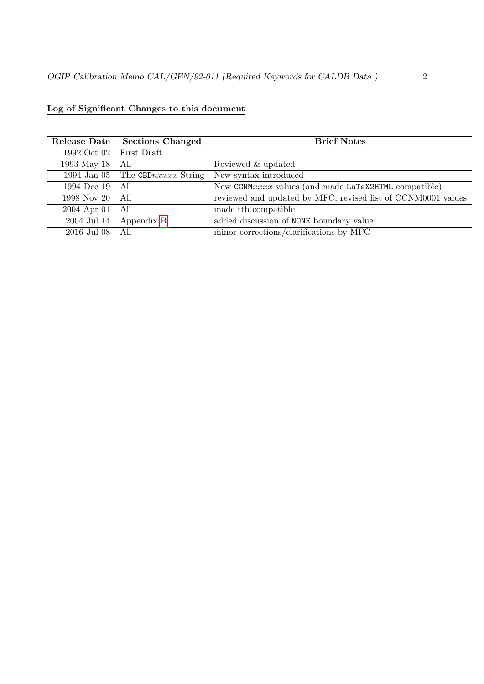| Release Date | <b>Sections Changed</b> | <b>Brief Notes</b>                                           |
|--------------|-------------------------|--------------------------------------------------------------|
| 1992 Oct 02  | First Draft             |                                                              |
| 1993 May 18  | All                     | Reviewed & updated                                           |
| 1994 Jan 05  | The CBDnxxxx String     | New syntax introduced                                        |
| 1994 Dec 19  | All                     | New CCNMxxxx values (and made LaTeX2HTML compatible)         |
| 1998 Nov 20  | All                     | reviewed and updated by MFC; revised list of CCNM0001 values |
| 2004 Apr 01  | All                     | made the compatible                                          |
| 2004 Jul 14  | Appendix B              | added discussion of NONE boundary value                      |
| 2016 Jul 08  | All                     | minor corrections/clarifications by MFC                      |

# Log of Significant Changes to this document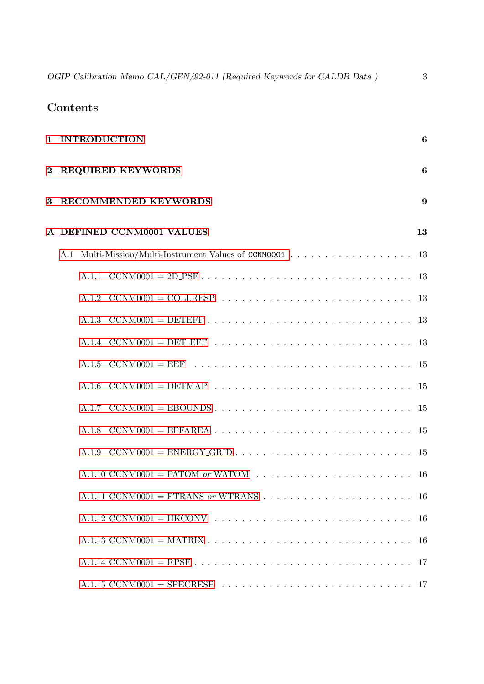OGIP Calibration Memo CAL/GEN/92-011 (Required Keywords for CALDB Data) 3

# Contents

|   | 1 INTRODUCTION                                                                                                                    | 6             |
|---|-----------------------------------------------------------------------------------------------------------------------------------|---------------|
|   | 2 REQUIRED KEYWORDS                                                                                                               | 6             |
| 3 | <b>RECOMMENDED KEYWORDS</b>                                                                                                       | 9             |
|   | A DEFINED CCNM0001 VALUES                                                                                                         | 13            |
|   | A.1                                                                                                                               | <sup>13</sup> |
|   |                                                                                                                                   | <sup>13</sup> |
|   |                                                                                                                                   |               |
|   | $CCNM0001 = DETERF \dots \dots \dots \dots \dots \dots \dots \dots \dots \dots \dots \dots \dots \dots$<br>A.1.3                  |               |
|   |                                                                                                                                   |               |
|   |                                                                                                                                   |               |
|   | A.1.6                                                                                                                             |               |
|   |                                                                                                                                   |               |
|   | $CCNM0001 = EFFAREA \dots \dots \dots \dots \dots \dots \dots \dots \dots \dots \dots \dots \dots \dots \dots \dots$<br>A.1.8     |               |
|   | $CCNM0001 = ENERGY_GRID \dots \dots \dots \dots \dots \dots \dots \dots \dots \dots \dots \dots \dots \dots \dots \dots$<br>A.1.9 |               |
|   | A.1.10 CCNM0001 = FATOM or WATOM $\ldots \ldots \ldots \ldots \ldots \ldots \ldots$                                               | -16           |
|   |                                                                                                                                   | -16           |
|   |                                                                                                                                   |               |
|   |                                                                                                                                   |               |
|   |                                                                                                                                   | -17           |
|   |                                                                                                                                   |               |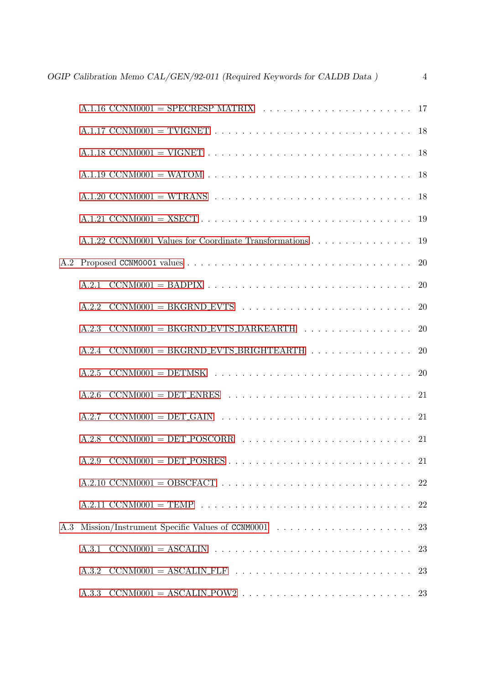|           | A.1.16 CCNM0001 = SPECRESP MATRIX $\ldots \ldots \ldots \ldots \ldots \ldots \ldots \ldots \ldots$ 17       |    |
|-----------|-------------------------------------------------------------------------------------------------------------|----|
|           |                                                                                                             |    |
|           |                                                                                                             |    |
|           |                                                                                                             |    |
|           |                                                                                                             |    |
|           |                                                                                                             |    |
|           | A.1.22 CCNM0001 Values for Coordinate Transformations 19                                                    |    |
| $\rm A.2$ |                                                                                                             |    |
|           |                                                                                                             |    |
|           |                                                                                                             |    |
|           | $A.2.3$ CCNM0001 = BKGRND_EVTS_DARKEARTH 20                                                                 |    |
|           | A.2.4 $CCNM0001 = BKGRND-EVTS\_BRIGHTEARTH     20$                                                          |    |
|           |                                                                                                             |    |
|           | A.2.6                                                                                                       |    |
|           |                                                                                                             |    |
|           |                                                                                                             |    |
|           |                                                                                                             |    |
|           |                                                                                                             |    |
|           |                                                                                                             | 22 |
| A.3       |                                                                                                             | 23 |
|           | $CCNM0001 = ASCALIN \dots \dots \dots \dots \dots \dots \dots \dots \dots \dots \dots \dots \dots$<br>A.3.1 | 23 |
|           | A.3.2                                                                                                       | 23 |
|           | A.3.3                                                                                                       |    |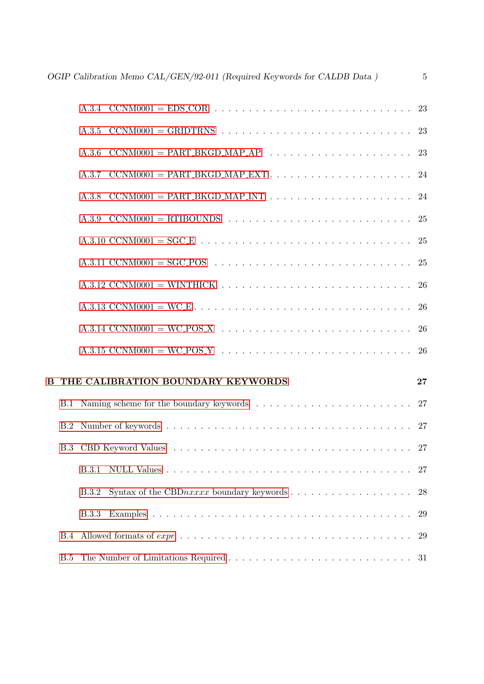|            | OGIP Calibration Memo CAL/GEN/92-011 (Required Keywords for CALDB Data) | $\overline{5}$ |
|------------|-------------------------------------------------------------------------|----------------|
|            |                                                                         |                |
|            |                                                                         |                |
|            |                                                                         |                |
|            |                                                                         |                |
|            |                                                                         |                |
|            |                                                                         |                |
|            |                                                                         |                |
|            |                                                                         |                |
|            |                                                                         |                |
|            |                                                                         |                |
|            |                                                                         |                |
|            |                                                                         |                |
|            | THE CALIBRATION BOUNDARY KEYWORDS                                       | 27             |
|            |                                                                         |                |
|            |                                                                         |                |
| <b>B.3</b> |                                                                         |                |
|            | <b>B.3.1</b>                                                            |                |
|            | B.3.2                                                                   | 28             |
|            | <b>B.3.3</b>                                                            | 29             |
| <b>B.4</b> |                                                                         | 29             |
| B.5        |                                                                         |                |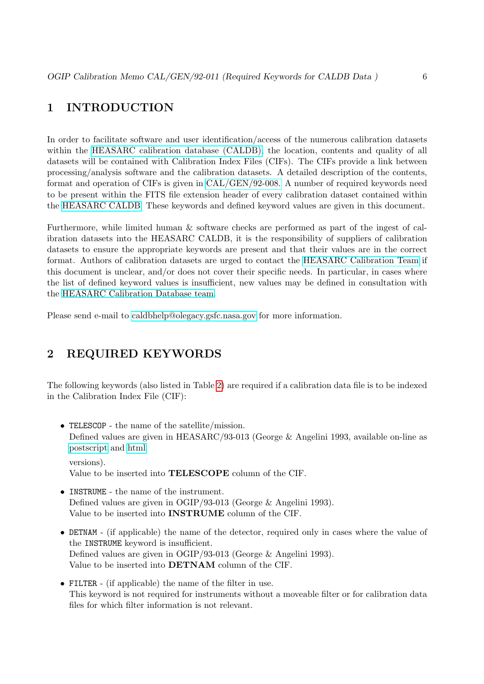# <span id="page-5-0"></span>1 INTRODUCTION

In order to facilitate software and user identification/access of the numerous calibration datasets within the [HEASARC calibration database \(CALDB\),](/docs/heasarc/caldb/caldb_intro.html) the location, contents and quality of all datasets will be contained with Calibration Index Files (CIFs). The CIFs provide a link between processing/analysis software and the calibration datasets. A detailed description of the contents, format and operation of CIFs is given in [CAL/GEN/92-008.](/docs/heasarc/caldb/docs/memos/cal_gen_92_008/cal_gen_92_008.html) A number of required keywords need to be present within the FITS file extension header of every calibration dataset contained within the [HEASARC CALDB.](/docs/heasarc/caldb/caldb_intro.html) These keywords and defined keyword values are given in this document.

Furthermore, while limited human & software checks are performed as part of the ingest of calibration datasets into the HEASARC CALDB, it is the responsibility of suppliers of calibration datasets to ensure the appropriate keywords are present and that their values are in the correct format. Authors of calibration datasets are urged to contact the [HEASARC Calibration Team](mailto:caldbhelp@olegacy.gsfc.nasa.gov) if this document is unclear, and/or does not cover their specific needs. In particular, in cases where the list of defined keyword values is insufficient, new values may be defined in consultation with the [HEASARC Calibration Database team.](http://heasarc.gsfc.nasa.gov/docs/heasarc/caldb/caldb_team.html)

Please send e-mail to [caldbhelp@olegacy.gsfc.nasa.gov](mailto:caldbhelp@olegacy.gsfc.nasa.gov) for more information.

# <span id="page-5-1"></span>2 REQUIRED KEYWORDS

The following keywords (also listed in Table [2\)](#page-9-0) are required if a calibration data file is to be indexed in the Calibration Index File (CIF):

- TELESCOP the name of the satellite/mission. Defined values are given in HEASARC/93-013 (George & Angelini 1993, available on-line as [postscript](ftp://legacy.gsfc.nasa.gov/fits_info/fits_formats/docs/general/ogip_93_013/ogip_93_013.ps) and [html](/docs/heasarc/ofwg/docs/general/ogip_93_013/ogip_93_013.html) versions).
	- Value to be inserted into TELESCOPE column of the CIF.
- INSTRUME the name of the instrument. Defined values are given in OGIP/93-013 (George & Angelini 1993). Value to be inserted into INSTRUME column of the CIF.
- DETNAM (if applicable) the name of the detector, required only in cases where the value of the INSTRUME keyword is insufficient. Defined values are given in OGIP/93-013 (George & Angelini 1993). Value to be inserted into DETNAM column of the CIF.
- FILTER (if applicable) the name of the filter in use. This keyword is not required for instruments without a moveable filter or for calibration data files for which filter information is not relevant.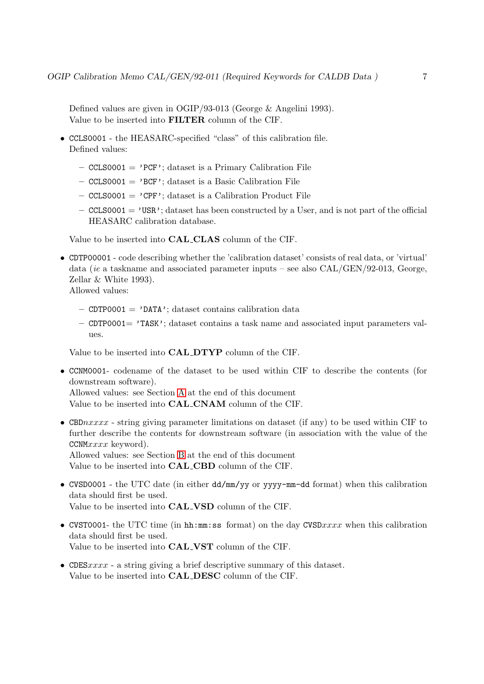Defined values are given in OGIP/93-013 (George & Angelini 1993). Value to be inserted into FILTER column of the CIF.

- CCLS0001 the HEASARC-specified "class" of this calibration file. Defined values:
	- $-$  CCLS0001 = 'PCF'; dataset is a Primary Calibration File
	- $-$  CCLS0001 = 'BCF'; dataset is a Basic Calibration File
	- $\sim$  CCLS0001 = 'CPF'; dataset is a Calibration Product File
	- $\sim$  CCLS0001 = 'USR'; dataset has been constructed by a User, and is not part of the official HEASARC calibration database.

Value to be inserted into CAL CLAS column of the CIF.

• CDTP00001 - code describing whether the 'calibration dataset' consists of real data, or 'virtual' data (ie a taskname and associated parameter inputs – see also  $CAL/GEN/92-013$ , George, Zellar & White 1993).

Allowed values:

- $-$  CDTP0001 = 'DATA'; dataset contains calibration data
- CDTP0001= 'TASK'; dataset contains a task name and associated input parameters values.

Value to be inserted into CAL DTYP column of the CIF.

• CCNM0001- codename of the dataset to be used within CIF to describe the contents (for downstream software).

Allowed values: see Section [A](#page-12-0) at the end of this document Value to be inserted into CAL CNAM column of the CIF.

• CBD $nxxxx$  - string giving parameter limitations on dataset (if any) to be used within CIF to further describe the contents for downstream software (in association with the value of the CCNMxxxx keyword). Allowed values: see Section [B](#page-26-0) at the end of this document

Value to be inserted into CAL CBD column of the CIF.

- CVSD0001 the UTC date (in either dd/mm/yy or yyyy-mm-dd format) when this calibration data should first be used. Value to be inserted into CAL VSD column of the CIF.
- CVST0001- the UTC time (in hh: $mm:ss$  format) on the day CVSDxxxx when this calibration data should first be used. Value to be inserted into CAL VST column of the CIF.
- CDES $xxxxx$  a string giving a brief descriptive summary of this dataset. Value to be inserted into CAL DESC column of the CIF.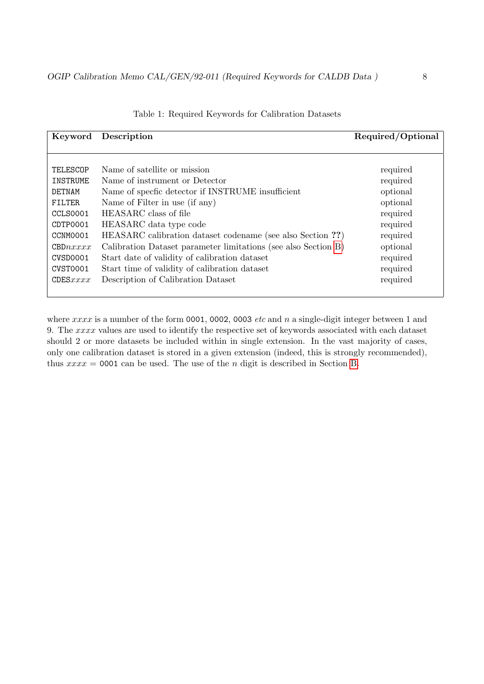| Keyword       | Description                                                    | Required/Optional |
|---------------|----------------------------------------------------------------|-------------------|
|               |                                                                |                   |
|               |                                                                |                   |
| TELESCOP      | Name of satellite or mission                                   | required          |
| INSTRUME      | Name of instrument or Detector                                 | required          |
| DETNAM        | Name of specfic detector if INSTRUME insufficient              | optional          |
| <b>FILTER</b> | Name of Filter in use (if any)                                 | optional          |
| CCLS0001      | HEASARC class of file                                          | required          |
| CDTP0001      | HEASARC data type code                                         | required          |
| CCNM0001      | HEASARC calibration dataset codename (see also Section ??)     | required          |
| CBDnxxxx      | Calibration Dataset parameter limitations (see also Section B) | optional          |
| CVSD0001      | Start date of validity of calibration dataset                  | required          |
| CVST0001      | Start time of validity of calibration dataset                  | required          |
| CDESxxxx      | Description of Calibration Dataset                             | required          |

Table 1: Required Keywords for Calibration Datasets

where  $xxxx$  is a number of the form 0001, 0002, 0003 etc and n a single-digit integer between 1 and 9. The xxxx values are used to identify the respective set of keywords associated with each dataset should 2 or more datasets be included within in single extension. In the vast majority of cases, only one calibration dataset is stored in a given extension (indeed, this is strongly recommended), thus  $xxxx = 0001$  can be used. The use of the *n* digit is described in Section [B.](#page-26-0)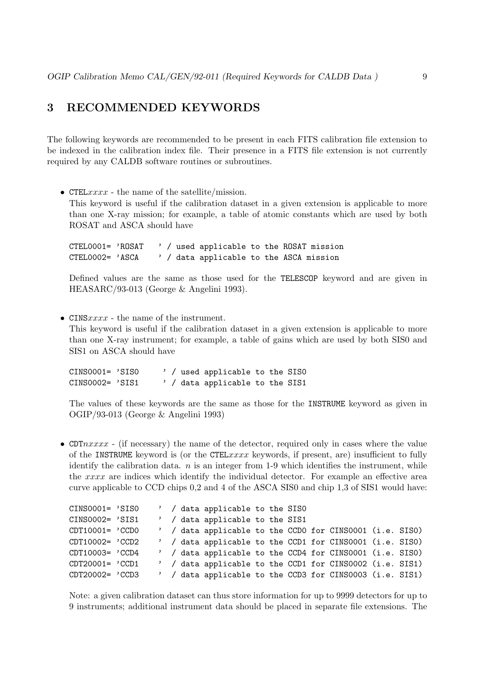# <span id="page-8-0"></span>3 RECOMMENDED KEYWORDS

The following keywords are recommended to be present in each FITS calibration file extension to be indexed in the calibration index file. Their presence in a FITS file extension is not currently required by any CALDB software routines or subroutines.

• CTEL $xxxx$  - the name of the satellite/mission.

This keyword is useful if the calibration dataset in a given extension is applicable to more than one X-ray mission; for example, a table of atomic constants which are used by both ROSAT and ASCA should have

CTEL0001= 'ROSAT ' / used applicable to the ROSAT mission CTEL0002= 'ASCA ' / data applicable to the ASCA mission

Defined values are the same as those used for the TELESCOP keyword and are given in HEASARC/93-013 (George & Angelini 1993).

• CINS $xxxx$  - the name of the instrument.

This keyword is useful if the calibration dataset in a given extension is applicable to more than one X-ray instrument; for example, a table of gains which are used by both SIS0 and SIS1 on ASCA should have

CINS0001= 'SIS0 ' / used applicable to the SIS0 CINS0002= 'SIS1 ' / data applicable to the SIS1

The values of these keywords are the same as those for the INSTRUME keyword as given in OGIP/93-013 (George & Angelini 1993)

• CDT $nxxxx$  - (if necessary) the name of the detector, required only in cases where the value of the INSTRUME keyword is (or the CTEL $xxxx$  keywords, if present, are) insufficient to fully identify the calibration data.  $n$  is an integer from 1-9 which identifies the instrument, while the xxxx are indices which identify the individual detector. For example an effective area curve applicable to CCD chips 0,2 and 4 of the ASCA SIS0 and chip 1,3 of SIS1 would have:

|                    |  |  | ' / data applicable to the SISO                          |  |  |  |  |
|--------------------|--|--|----------------------------------------------------------|--|--|--|--|
| CINS0002= 'SIS1    |  |  | ' / data applicable to the SIS1                          |  |  |  |  |
| $CDT10001 = 'CCDO$ |  |  | ' / data applicable to the CCDO for CINS0001 (i.e. SISO) |  |  |  |  |
| CDT10002= 'CCD2    |  |  | ' / data applicable to the CCD1 for CINS0001 (i.e. SIS0) |  |  |  |  |
| CDT10003= 'CCD4    |  |  | ' / data applicable to the CCD4 for CINS0001 (i.e. SISO) |  |  |  |  |
| $CDT20001 = 'CCD1$ |  |  | ' / data applicable to the CCD1 for CINS0002 (i.e. SIS1) |  |  |  |  |
| CDT20002= 'CCD3    |  |  | ' / data applicable to the CCD3 for CINS0003 (i.e. SIS1) |  |  |  |  |

Note: a given calibration dataset can thus store information for up to 9999 detectors for up to 9 instruments; additional instrument data should be placed in separate file extensions. The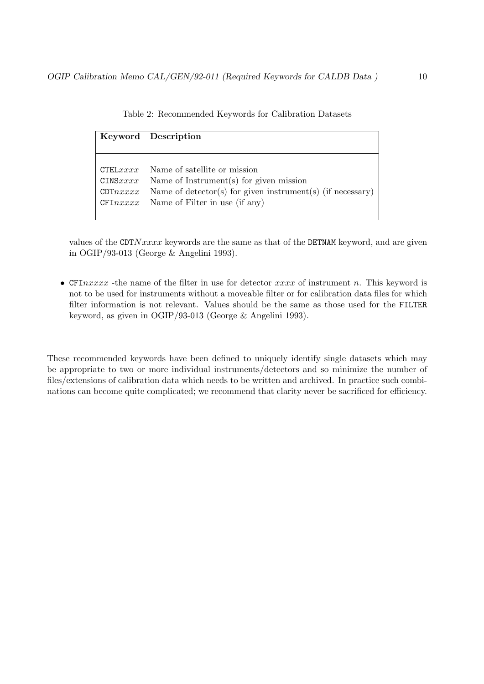|                                 | Keyword Description                                                                                                                                                                   |
|---------------------------------|---------------------------------------------------------------------------------------------------------------------------------------------------------------------------------------|
|                                 |                                                                                                                                                                                       |
| CTELxxx<br>CINSxxx<br>CDT nxxxx | Name of satellite or mission<br>Name of Instrument $(s)$ for given mission<br>Name of detector(s) for given instrument(s) (if necessary)<br>$CFInxxxx$ Name of Filter in use (if any) |

<span id="page-9-0"></span>Table 2: Recommended Keywords for Calibration Datasets

values of the CDT $Nxxxx$  keywords are the same as that of the DETNAM keyword, and are given in OGIP/93-013 (George & Angelini 1993).

• CFI $\eta x x x x$  -the name of the filter in use for detector  $xxxx$  of instrument n. This keyword is not to be used for instruments without a moveable filter or for calibration data files for which filter information is not relevant. Values should be the same as those used for the FILTER keyword, as given in OGIP/93-013 (George & Angelini 1993).

These recommended keywords have been defined to uniquely identify single datasets which may be appropriate to two or more individual instruments/detectors and so minimize the number of files/extensions of calibration data which needs to be written and archived. In practice such combinations can become quite complicated; we recommend that clarity never be sacrificed for efficiency.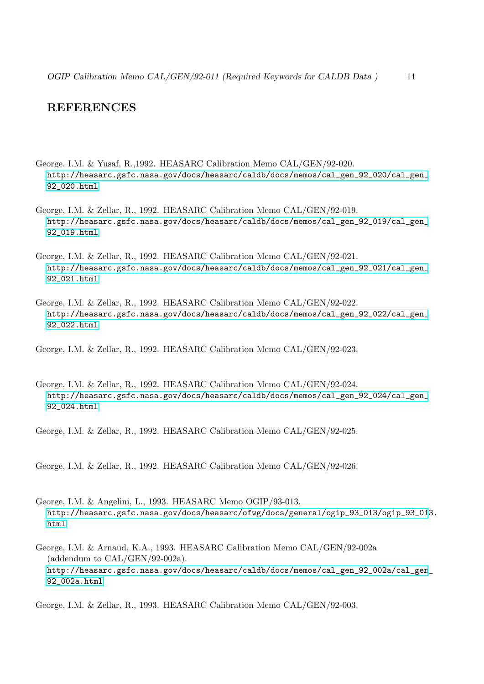# **REFERENCES**

- George, I.M. & Yusaf, R.,1992. HEASARC Calibration Memo CAL/GEN/92-020. [http://heasarc.gsfc.nasa.gov/docs/heasarc/caldb/docs/memos/cal\\_gen\\_92\\_020/cal\\_gen\\_](http://heasarc.gsfc.nasa.gov/docs/heasarc/caldb/docs/memos/cal_gen_92_020/cal_gen_92_020.html) [92\\_020.html](http://heasarc.gsfc.nasa.gov/docs/heasarc/caldb/docs/memos/cal_gen_92_020/cal_gen_92_020.html)
- George, I.M. & Zellar, R., 1992. HEASARC Calibration Memo CAL/GEN/92-019. [http://heasarc.gsfc.nasa.gov/docs/heasarc/caldb/docs/memos/cal\\_gen\\_92\\_019/cal\\_gen\\_](http://heasarc.gsfc.nasa.gov/docs/heasarc/caldb/docs/memos/cal_gen_92_019/cal_gen_92_019.html) [92\\_019.html](http://heasarc.gsfc.nasa.gov/docs/heasarc/caldb/docs/memos/cal_gen_92_019/cal_gen_92_019.html)
- George, I.M. & Zellar, R., 1992. HEASARC Calibration Memo CAL/GEN/92-021. [http://heasarc.gsfc.nasa.gov/docs/heasarc/caldb/docs/memos/cal\\_gen\\_92\\_021/cal\\_gen\\_](http://heasarc.gsfc.nasa.gov/docs/heasarc/caldb/docs/memos/cal_gen_92_021/cal_gen_92_021.html) [92\\_021.html](http://heasarc.gsfc.nasa.gov/docs/heasarc/caldb/docs/memos/cal_gen_92_021/cal_gen_92_021.html)
- George, I.M. & Zellar, R., 1992. HEASARC Calibration Memo CAL/GEN/92-022. [http://heasarc.gsfc.nasa.gov/docs/heasarc/caldb/docs/memos/cal\\_gen\\_92\\_022/cal\\_gen\\_](http://heasarc.gsfc.nasa.gov/docs/heasarc/caldb/docs/memos/cal_gen_92_022/cal_gen_92_022.html) [92\\_022.html](http://heasarc.gsfc.nasa.gov/docs/heasarc/caldb/docs/memos/cal_gen_92_022/cal_gen_92_022.html)

George, I.M. & Zellar, R., 1992. HEASARC Calibration Memo CAL/GEN/92-023.

George, I.M. & Zellar, R., 1992. HEASARC Calibration Memo CAL/GEN/92-024. [http://heasarc.gsfc.nasa.gov/docs/heasarc/caldb/docs/memos/cal\\_gen\\_92\\_024/cal\\_gen\\_](http://heasarc.gsfc.nasa.gov/docs/heasarc/caldb/docs/memos/cal_gen_92_024/cal_gen_92_024.html) [92\\_024.html](http://heasarc.gsfc.nasa.gov/docs/heasarc/caldb/docs/memos/cal_gen_92_024/cal_gen_92_024.html)

George, I.M. & Zellar, R., 1992. HEASARC Calibration Memo CAL/GEN/92-025.

George, I.M. & Zellar, R., 1992. HEASARC Calibration Memo CAL/GEN/92-026.

- George, I.M. & Angelini, L., 1993. HEASARC Memo OGIP/93-013. [http://heasarc.gsfc.nasa.gov/docs/heasarc/ofwg/docs/general/ogip\\_93\\_013/ogip\\_93\\_01](http://heasarc.gsfc.nasa.gov/docs/heasarc/ofwg/docs/general/ogip_93_013/ogip_93_013.html)3. [html](http://heasarc.gsfc.nasa.gov/docs/heasarc/ofwg/docs/general/ogip_93_013/ogip_93_013.html)
- George, I.M. & Arnaud, K.A., 1993. HEASARC Calibration Memo CAL/GEN/92-002a (addendum to CAL/GEN/92-002a). [http://heasarc.gsfc.nasa.gov/docs/heasarc/caldb/docs/memos/cal\\_gen\\_92\\_002a/cal\\_gen](http://heasarc.gsfc.nasa.gov/docs/heasarc/caldb/docs/memos/cal_gen_92_002a/cal_gen_92_002a.html)\_ [92\\_002a.html](http://heasarc.gsfc.nasa.gov/docs/heasarc/caldb/docs/memos/cal_gen_92_002a/cal_gen_92_002a.html)

George, I.M. & Zellar, R., 1993. HEASARC Calibration Memo CAL/GEN/92-003.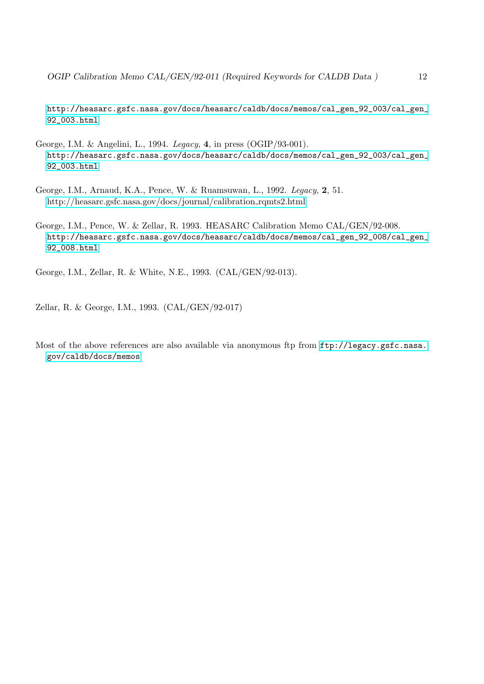[http://heasarc.gsfc.nasa.gov/docs/heasarc/caldb/docs/memos/cal\\_gen\\_92\\_003/cal\\_gen\\_](http://heasarc.gsfc.nasa.gov/docs/heasarc/caldb/docs/memos/cal_gen_92_003/cal_gen_92_003.html) [92\\_003.html](http://heasarc.gsfc.nasa.gov/docs/heasarc/caldb/docs/memos/cal_gen_92_003/cal_gen_92_003.html)

- George, I.M. & Angelini, L., 1994. Legacy, 4, in press (OGIP/93-001). [http://heasarc.gsfc.nasa.gov/docs/heasarc/caldb/docs/memos/cal\\_gen\\_92\\_003/cal\\_gen\\_](http://heasarc.gsfc.nasa.gov/docs/heasarc/caldb/docs/memos/cal_gen_92_003/cal_gen_92_003.html) [92\\_003.html](http://heasarc.gsfc.nasa.gov/docs/heasarc/caldb/docs/memos/cal_gen_92_003/cal_gen_92_003.html)
- George, I.M., Arnaud, K.A., Pence, W. & Ruamsuwan, L., 1992. Legacy, 2, 51. [http://heasarc.gsfc.nasa.gov/docs/journal/calibration](/docs/journal/calibration_rqmts2.html) rqmts2.html
- George, I.M., Pence, W. & Zellar, R. 1993. HEASARC Calibration Memo CAL/GEN/92-008. [http://heasarc.gsfc.nasa.gov/docs/heasarc/caldb/docs/memos/cal\\_gen\\_92\\_008/cal\\_gen\\_](http://heasarc.gsfc.nasa.gov/docs/heasarc/caldb/docs/memos/cal_gen_92_008/cal_gen_92_008.html) [92\\_008.html](http://heasarc.gsfc.nasa.gov/docs/heasarc/caldb/docs/memos/cal_gen_92_008/cal_gen_92_008.html)

George, I.M., Zellar, R. & White, N.E., 1993. (CAL/GEN/92-013).

Zellar, R. & George, I.M., 1993. (CAL/GEN/92-017)

Most of the above references are also available via anonymous ftp from [ftp://legacy.gsfc.nasa.](ftp://legacy.gsfc.nasa.gov/caldb/docs/memos) [gov/caldb/docs/memos](ftp://legacy.gsfc.nasa.gov/caldb/docs/memos)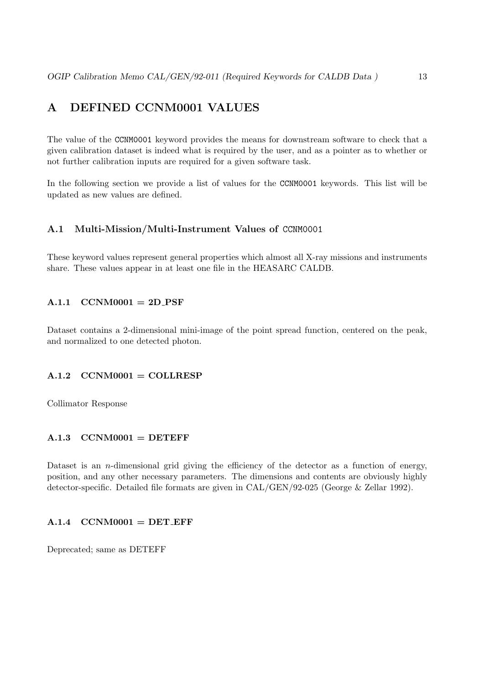# <span id="page-12-0"></span>A DEFINED CCNM0001 VALUES

The value of the CCNM0001 keyword provides the means for downstream software to check that a given calibration dataset is indeed what is required by the user, and as a pointer as to whether or not further calibration inputs are required for a given software task.

In the following section we provide a list of values for the CCNM0001 keywords. This list will be updated as new values are defined.

#### <span id="page-12-1"></span>A.1 Multi-Mission/Multi-Instrument Values of CCNM0001

These keyword values represent general properties which almost all X-ray missions and instruments share. These values appear in at least one file in the HEASARC CALDB.

#### <span id="page-12-2"></span> $A.1.1$  CCNM0001 = 2D\_PSF

Dataset contains a 2-dimensional mini-image of the point spread function, centered on the peak, and normalized to one detected photon.

#### <span id="page-12-3"></span> $A.1.2$  CCNM0001 = COLLRESP

Collimator Response

#### <span id="page-12-4"></span> $A.1.3$  CCNM0001 = DETEFF

Dataset is an  $n$ -dimensional grid giving the efficiency of the detector as a function of energy, position, and any other necessary parameters. The dimensions and contents are obviously highly detector-specific. Detailed file formats are given in CAL/GEN/92-025 (George & Zellar 1992).

#### <span id="page-12-5"></span> $A.1.4$  CCNM0001 = DET EFF

Deprecated; same as DETEFF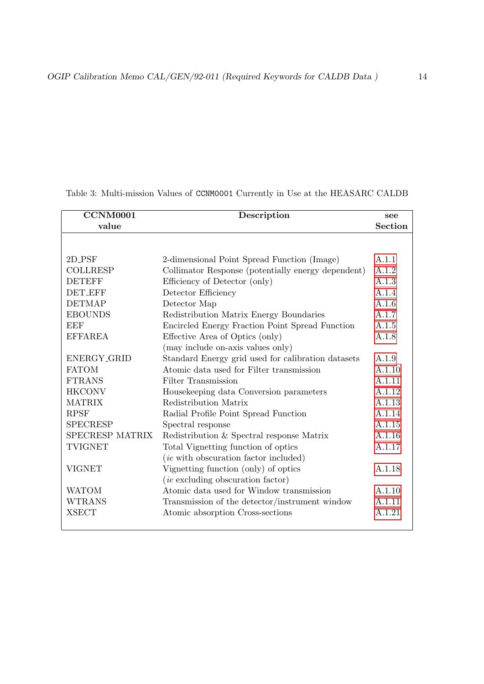| <b>CCNM0001</b> | Description                                        | see            |
|-----------------|----------------------------------------------------|----------------|
| value           |                                                    | <b>Section</b> |
|                 |                                                    |                |
|                 |                                                    |                |
| $2D_P$ SF       | 2-dimensional Point Spread Function (Image)        | A.1.1          |
| <b>COLLRESP</b> | Collimator Response (potentially energy dependent) | A.1.2          |
| <b>DETEFF</b>   | Efficiency of Detector (only)                      | A.1.3          |
| <b>DET_EFF</b>  | Detector Efficiency                                | A.1.4          |
| <b>DETMAP</b>   | Detector Map                                       | A.1.6          |
| <b>EBOUNDS</b>  | Redistribution Matrix Energy Boundaries            | A.1.7          |
| EEF             | Encircled Energy Fraction Point Spread Function    | A.1.5          |
| <b>EFFAREA</b>  | Effective Area of Optics (only)                    | A.1.8          |
|                 | (may include on-axis values only)                  |                |
| ENERGY_GRID     | Standard Energy grid used for calibration datasets | A.1.9          |
| <b>FATOM</b>    | Atomic data used for Filter transmission           | A.1.10         |
| <b>FTRANS</b>   | Filter Transmission                                | A.1.11         |
| <b>HKCONV</b>   | Housekeeping data Conversion parameters            | A.1.12         |
| <b>MATRIX</b>   | Redistribution Matrix                              | A.1.13         |
| <b>RPSF</b>     | Radial Profile Point Spread Function               | A.1.14         |
| <b>SPECRESP</b> | Spectral response                                  | A.1.15         |
| SPECRESP MATRIX | Redistribution $\&$ Spectral response Matrix       | A.1.16         |
| <b>TVIGNET</b>  | Total Vignetting function of optics                | A.1.17         |
|                 | ( <i>ie</i> with obscuration factor included)      |                |
| <b>VIGNET</b>   | Vignetting function (only) of optics               | A.1.18         |
|                 | <i>(ie excluding obscuration factor)</i>           |                |
| <b>WATOM</b>    | Atomic data used for Window transmission           | A.1.10         |
| <b>WTRANS</b>   | Transmission of the detector/instrument window     | A.1.11         |
| <b>XSECT</b>    | Atomic absorption Cross-sections                   | A.1.21         |
|                 |                                                    |                |

Table 3: Multi-mission Values of CCNM0001 Currently in Use at the HEASARC CALDB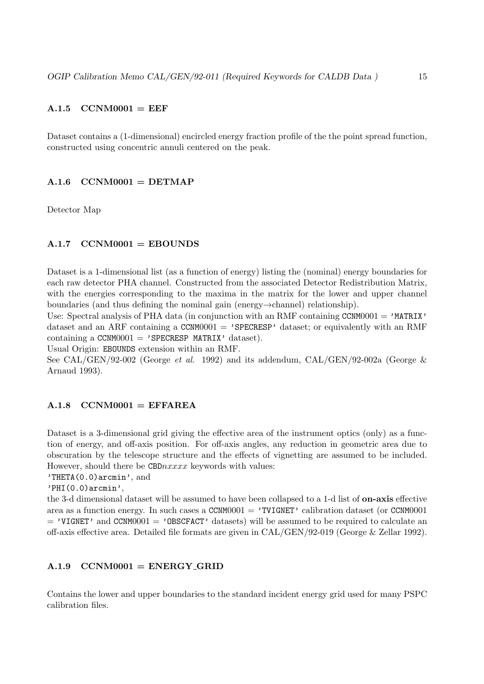# <span id="page-14-0"></span> $A.1.5$  CCNM0001 = EEF

Dataset contains a (1-dimensional) encircled energy fraction profile of the the point spread function, constructed using concentric annuli centered on the peak.

#### <span id="page-14-1"></span> $A.1.6$  CCNM0001 = DETMAP

Detector Map

#### <span id="page-14-2"></span> $A.1.7$  CCNM0001 = EBOUNDS

Dataset is a 1-dimensional list (as a function of energy) listing the (nominal) energy boundaries for each raw detector PHA channel. Constructed from the associated Detector Redistribution Matrix, with the energies corresponding to the maxima in the matrix for the lower and upper channel boundaries (and thus defining the nominal gain (energy→channel) relationship).

Use: Spectral analysis of PHA data (in conjunction with an RMF containing CCNM0001 =  $'$ MATRIX' dataset and an ARF containing a  $CCMM0001 = 'SPECTESP'$  dataset; or equivalently with an RMF containing a CCNM0001 = 'SPECRESP MATRIX' dataset).

Usual Origin: EBOUNDS extension within an RMF.

See CAL/GEN/92-002 (George et al. 1992) and its addendum, CAL/GEN/92-002a (George & Arnaud 1993).

#### <span id="page-14-3"></span> $A.1.8$  CCNM0001 = EFFAREA

Dataset is a 3-dimensional grid giving the effective area of the instrument optics (only) as a function of energy, and off-axis position. For off-axis angles, any reduction in geometric area due to obscuration by the telescope structure and the effects of vignetting are assumed to be included. However, should there be  $CBDnxxxx$  keywords with values:

'THETA(0.0)arcmin', and

```
'PHI(0.0)arcmin',
```
the 3-d dimensional dataset will be assumed to have been collapsed to a 1-d list of **on-axis** effective area as a function energy. In such cases a  $CCNM0001 = 'TVIGNET'$  calibration dataset (or  $CCNM0001$  $=$  'VIGNET' and CCNM0001  $=$  'OBSCFACT' datasets) will be assumed to be required to calculate an off-axis effective area. Detailed file formats are given in CAL/GEN/92-019 (George & Zellar 1992).

#### <span id="page-14-4"></span> $A.1.9$  CCNM0001 = ENERGY GRID

Contains the lower and upper boundaries to the standard incident energy grid used for many PSPC calibration files.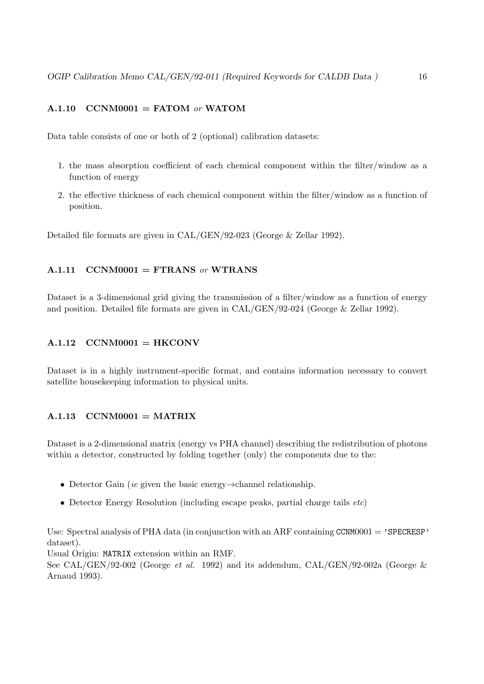# <span id="page-15-0"></span>A.1.10 CCNM0001 = FATOM or WATOM

Data table consists of one or both of 2 (optional) calibration datasets:

- 1. the mass absorption coefficient of each chemical component within the filter/window as a function of energy
- 2. the effective thickness of each chemical component within the filter/window as a function of position.

Detailed file formats are given in CAL/GEN/92-023 (George & Zellar 1992).

#### <span id="page-15-1"></span> $A.1.11$  CCNM0001 = FTRANS or WTRANS

Dataset is a 3-dimensional grid giving the transmission of a filter/window as a function of energy and position. Detailed file formats are given in CAL/GEN/92-024 (George & Zellar 1992).

#### <span id="page-15-2"></span> $A.1.12$  CCNM0001 = HKCONV

Dataset is in a highly instrument-specific format, and contains information necessary to convert satellite housekeeping information to physical units.

#### <span id="page-15-3"></span> $A.1.13$  CCNM0001 = MATRIX

Dataset is a 2-dimensional matrix (energy vs PHA channel) describing the redistribution of photons within a detector, constructed by folding together (only) the components due to the:

- Detector Gain (ie given the basic energy $\rightarrow$ channel relationship.
- Detector Energy Resolution (including escape peaks, partial charge tails  $etc$ )

Use: Spectral analysis of PHA data (in conjunction with an ARF containing CCNM0001 =  $'$ SPECRESP' dataset).

Usual Origin: MATRIX extension within an RMF.

See CAL/GEN/92-002 (George et al. 1992) and its addendum, CAL/GEN/92-002a (George & Arnaud 1993).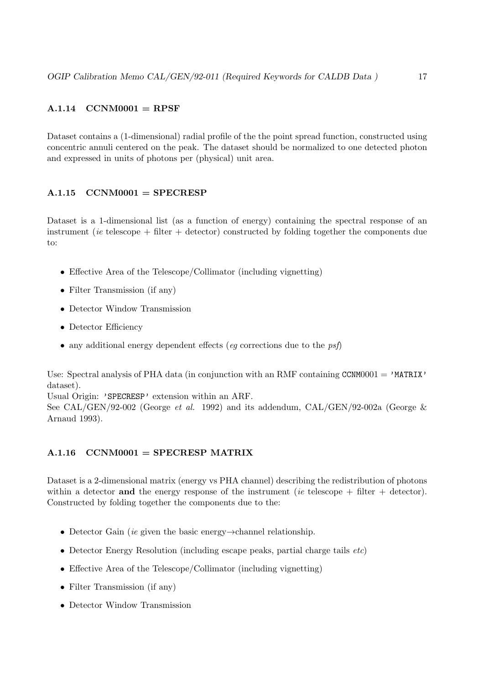# <span id="page-16-0"></span> $A.1.14$  CCNM0001 = RPSF

Dataset contains a (1-dimensional) radial profile of the the point spread function, constructed using concentric annuli centered on the peak. The dataset should be normalized to one detected photon and expressed in units of photons per (physical) unit area.

# <span id="page-16-1"></span> $A.1.15$  CCNM0001 = SPECRESP

Dataset is a 1-dimensional list (as a function of energy) containing the spectral response of an instrument (ie telescope  $+$  filter  $+$  detector) constructed by folding together the components due to:

- Effective Area of the Telescope/Collimator (including vignetting)
- Filter Transmission (if any)
- Detector Window Transmission
- Detector Efficiency
- any additional energy dependent effects (eq corrections due to the  $psf$ )

Use: Spectral analysis of PHA data (in conjunction with an RMF containing  $CCMM0001 = 'MATRIX'$ dataset).

Usual Origin: 'SPECRESP' extension within an ARF. See CAL/GEN/92-002 (George et al. 1992) and its addendum, CAL/GEN/92-002a (George & Arnaud 1993).

# <span id="page-16-2"></span> $A.1.16$  CCNM0001 = SPECRESP MATRIX

Dataset is a 2-dimensional matrix (energy vs PHA channel) describing the redistribution of photons within a detector and the energy response of the instrument (ie telescope  $+$  filter  $+$  detector). Constructed by folding together the components due to the:

- Detector Gain (ie given the basic energy→channel relationship.
- Detector Energy Resolution (including escape peaks, partial charge tails *etc*)
- Effective Area of the Telescope/Collimator (including vignetting)
- Filter Transmission (if any)
- Detector Window Transmission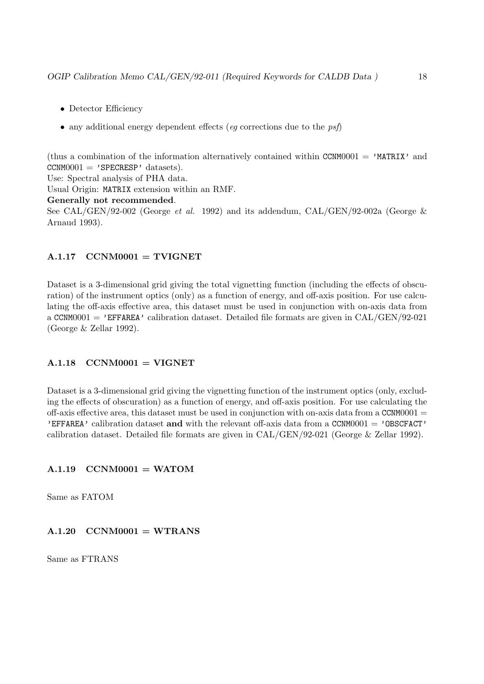- Detector Efficiency
- any additional energy dependent effects (eq corrections due to the  $psf$ )

(thus a combination of the information alternatively contained within CCNM0001 =  $'MATRIX'$  and  $CCNM0001 = 'SPECTRESP' datasets).$ Use: Spectral analysis of PHA data.

Usual Origin: MATRIX extension within an RMF.

Generally not recommended.

See CAL/GEN/92-002 (George et al. 1992) and its addendum, CAL/GEN/92-002a (George & Arnaud 1993).

#### <span id="page-17-0"></span> $A.1.17$  CCNM0001 = TVIGNET

Dataset is a 3-dimensional grid giving the total vignetting function (including the effects of obscuration) of the instrument optics (only) as a function of energy, and off-axis position. For use calculating the off-axis effective area, this dataset must be used in conjunction with on-axis data from a CCNM0001 = 'EFFAREA' calibration dataset. Detailed file formats are given in  $CAL/GEN/92-021$ (George & Zellar 1992).

#### <span id="page-17-1"></span> $A.1.18$  CCNM0001 = VIGNET

Dataset is a 3-dimensional grid giving the vignetting function of the instrument optics (only, excluding the effects of obscuration) as a function of energy, and off-axis position. For use calculating the off-axis effective area, this dataset must be used in conjunction with on-axis data from a  $CCNM0001 =$ **'EFFAREA'** calibration dataset and with the relevant off-axis data from a CCNM0001 = 'OBSCFACT' calibration dataset. Detailed file formats are given in CAL/GEN/92-021 (George & Zellar 1992).

#### <span id="page-17-2"></span> $A.1.19$  CCNM0001 = WATOM

Same as FATOM

#### <span id="page-17-3"></span> $A.1.20 \quad CCNM0001 = WTRANS$

Same as FTRANS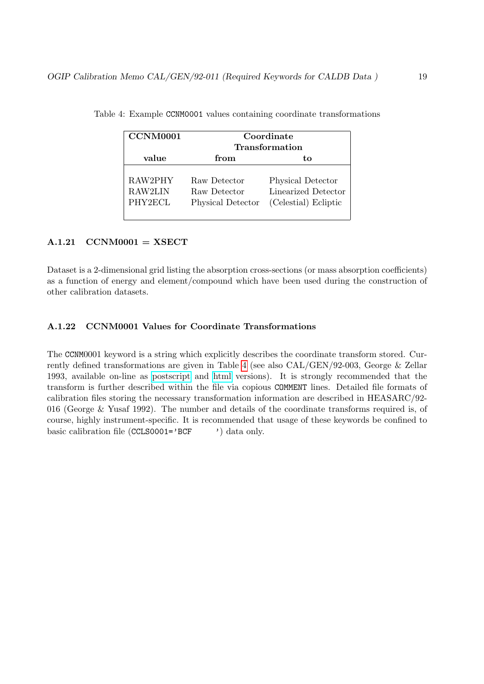<span id="page-18-2"></span>

| CCNM0001                      | Coordinate<br>Transformation                      |                                                                  |  |  |
|-------------------------------|---------------------------------------------------|------------------------------------------------------------------|--|--|
| value                         | from                                              | tо                                                               |  |  |
| RAW2PHY<br>RAW2LIN<br>PHY2ECL | Raw Detector<br>Raw Detector<br>Physical Detector | Physical Detector<br>Linearized Detector<br>(Celestial) Ecliptic |  |  |

Table 4: Example CCNM0001 values containing coordinate transformations

#### <span id="page-18-0"></span> $A.1.21$  CCNM0001 = XSECT

Dataset is a 2-dimensional grid listing the absorption cross-sections (or mass absorption coefficients) as a function of energy and element/compound which have been used during the construction of other calibration datasets.

#### <span id="page-18-1"></span>A.1.22 CCNM0001 Values for Coordinate Transformations

The CCNM0001 keyword is a string which explicitly describes the coordinate transform stored. Currently defined transformations are given in Table [4](#page-18-2) (see also CAL/GEN/92-003, George & Zellar 1993, available on-line as [postscript](ftp://legacy.gsfc.nasa.gov/caldb/docs/memos/cal_gen_92_003/cal_gen_92_003.ps) and [html](/docs/heasarc/caldb/docs/memos/cal_gen_92_003/cal_gen_92_003.html) versions). It is strongly recommended that the transform is further described within the file via copious COMMENT lines. Detailed file formats of calibration files storing the necessary transformation information are described in HEASARC/92- 016 (George & Yusaf 1992). The number and details of the coordinate transforms required is, of course, highly instrument-specific. It is recommended that usage of these keywords be confined to basic calibration file (CCLS0001='BCF ') data only.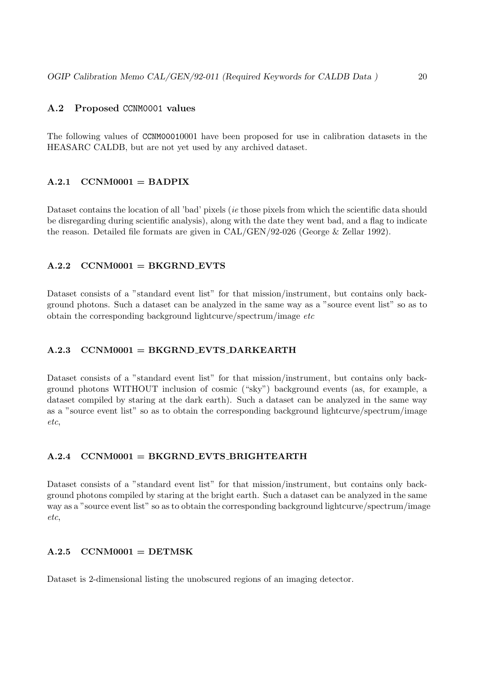#### <span id="page-19-0"></span>A.2 Proposed CCNM0001 values

The following values of CCNM00010001 have been proposed for use in calibration datasets in the HEASARC CALDB, but are not yet used by any archived dataset.

#### <span id="page-19-1"></span> $A.2.1$  CCNM0001 = BADPIX

Dataset contains the location of all 'bad' pixels (*ie* those pixels from which the scientific data should be disregarding during scientific analysis), along with the date they went bad, and a flag to indicate the reason. Detailed file formats are given in CAL/GEN/92-026 (George & Zellar 1992).

#### <span id="page-19-2"></span> $A.2.2$  CCNM0001 = BKGRND\_EVTS

Dataset consists of a "standard event list" for that mission/instrument, but contains only background photons. Such a dataset can be analyzed in the same way as a "source event list" so as to obtain the corresponding background lightcurve/spectrum/image etc

#### <span id="page-19-3"></span> $A.2.3$  CCNM0001 = BKGRND EVTS DARKEARTH

Dataset consists of a "standard event list" for that mission/instrument, but contains only background photons WITHOUT inclusion of cosmic ("sky") background events (as, for example, a dataset compiled by staring at the dark earth). Such a dataset can be analyzed in the same way as a "source event list" so as to obtain the corresponding background lightcurve/spectrum/image etc,

#### <span id="page-19-4"></span> $A.2.4$  CCNM0001 = BKGRND EVTS BRIGHTEARTH

Dataset consists of a "standard event list" for that mission/instrument, but contains only background photons compiled by staring at the bright earth. Such a dataset can be analyzed in the same way as a "source event list" so as to obtain the corresponding background lightcurve/spectrum/image etc,

#### <span id="page-19-5"></span> $A.2.5$  CCNM0001 = DETMSK

Dataset is 2-dimensional listing the unobscured regions of an imaging detector.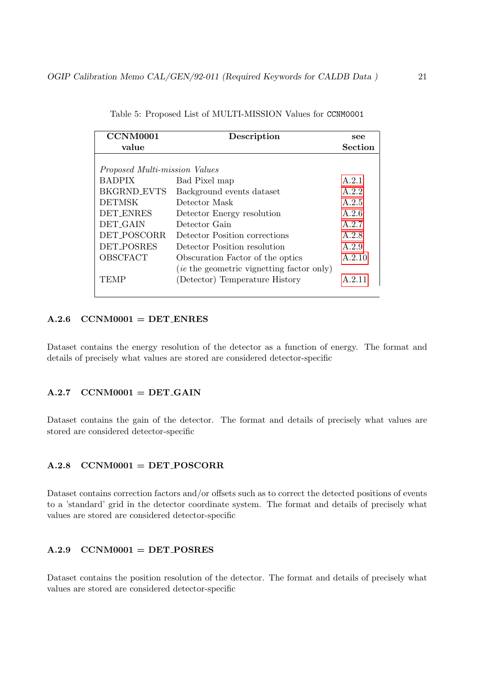| CCNM0001                      | Description                                      | see            |
|-------------------------------|--------------------------------------------------|----------------|
| value                         |                                                  | <b>Section</b> |
|                               |                                                  |                |
| Proposed Multi-mission Values |                                                  |                |
| <b>BADPIX</b>                 | Bad Pixel map                                    | A.2.1          |
| <b>BKGRND EVTS</b>            | Background events dataset                        | A.2.2          |
| <b>DETMSK</b>                 | Detector Mask                                    | A.2.5          |
| <b>DET_ENRES</b>              | Detector Energy resolution                       | A.2.6          |
| DET_GAIN                      | Detector Gain                                    | A.2.7          |
| DET_POSCORR                   | Detector Position corrections                    | A.2.8          |
| <b>DET_POSRES</b>             | Detector Position resolution                     | A.2.9          |
| OBSCFACT                      | Obscuration Factor of the optics                 | A.2.10         |
|                               | <i>(ie the geometric vignetting factor only)</i> |                |
| TEMP                          | (Detector) Temperature History                   | A 2.11         |

Table 5: Proposed List of MULTI-MISSION Values for CCNM0001

#### <span id="page-20-0"></span> $A.2.6$  CCNM0001 = DET ENRES

Dataset contains the energy resolution of the detector as a function of energy. The format and details of precisely what values are stored are considered detector-specific

#### <span id="page-20-1"></span> $A.2.7$  CCNM0001 = DET\_GAIN

Dataset contains the gain of the detector. The format and details of precisely what values are stored are considered detector-specific

#### <span id="page-20-2"></span> $A.2.8$  CCNM0001 = DET\_POSCORR

Dataset contains correction factors and/or offsets such as to correct the detected positions of events to a 'standard' grid in the detector coordinate system. The format and details of precisely what values are stored are considered detector-specific

#### <span id="page-20-3"></span> $A.2.9$  CCNM0001 = DET\_POSRES

Dataset contains the position resolution of the detector. The format and details of precisely what values are stored are considered detector-specific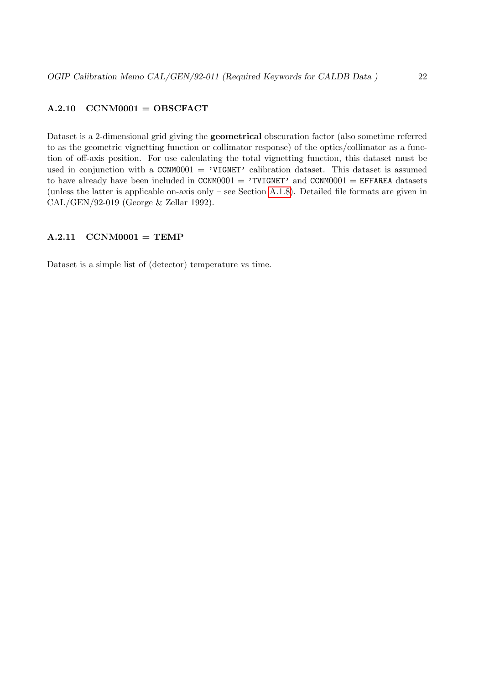#### <span id="page-21-0"></span> $A.2.10 \quad \text{CCNM0001} = \text{OBSCFACT}$

Dataset is a 2-dimensional grid giving the geometrical obscuration factor (also sometime referred to as the geometric vignetting function or collimator response) of the optics/collimator as a function of off-axis position. For use calculating the total vignetting function, this dataset must be used in conjunction with a CCNM0001 = 'VIGNET' calibration dataset. This dataset is assumed to have already have been included in CCNM0001 = 'TVIGNET' and CCNM0001 = EFFAREA datasets (unless the latter is applicable on-axis only – see Section [A.1.8\)](#page-14-3). Detailed file formats are given in CAL/GEN/92-019 (George & Zellar 1992).

#### <span id="page-21-1"></span> $A.2.11$  CCNM0001 = TEMP

Dataset is a simple list of (detector) temperature vs time.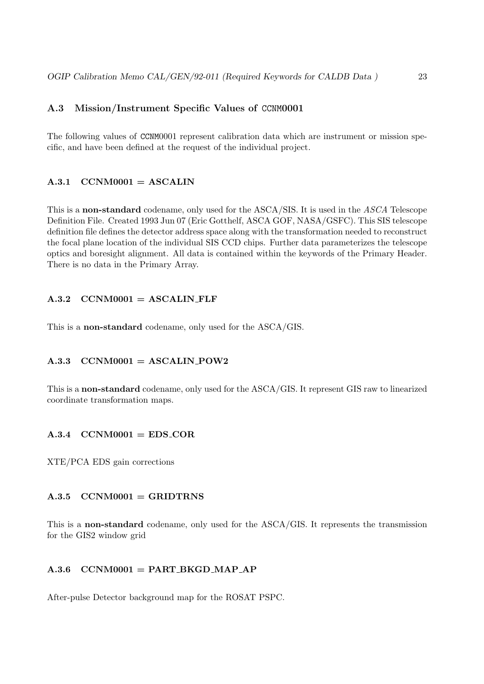# <span id="page-22-0"></span>A.3 Mission/Instrument Specific Values of CCNM0001

The following values of CCNM0001 represent calibration data which are instrument or mission specific, and have been defined at the request of the individual project.

#### <span id="page-22-1"></span> $A.3.1$  CCNM0001 = ASCALIN

This is a non-standard codename, only used for the ASCA/SIS. It is used in the ASCA Telescope Definition File. Created 1993 Jun 07 (Eric Gotthelf, ASCA GOF, NASA/GSFC). This SIS telescope definition file defines the detector address space along with the transformation needed to reconstruct the focal plane location of the individual SIS CCD chips. Further data parameterizes the telescope optics and boresight alignment. All data is contained within the keywords of the Primary Header. There is no data in the Primary Array.

#### <span id="page-22-2"></span> $A.3.2$  CCNM0001 = ASCALIN FLF

This is a non-standard codename, only used for the ASCA/GIS.

# <span id="page-22-3"></span> $A.3.3$  CCNM0001 = ASCALIN POW2

This is a non-standard codename, only used for the ASCA/GIS. It represent GIS raw to linearized coordinate transformation maps.

#### <span id="page-22-4"></span> $A.3.4$  CCNM0001 = EDS\_COR

XTE/PCA EDS gain corrections

#### <span id="page-22-5"></span> $A.3.5$  CCNM0001 = GRIDTRNS

This is a non-standard codename, only used for the ASCA/GIS. It represents the transmission for the GIS2 window grid

#### <span id="page-22-6"></span> $A.3.6$  CCNM0001 = PART\_BKGD\_MAP\_AP

After-pulse Detector background map for the ROSAT PSPC.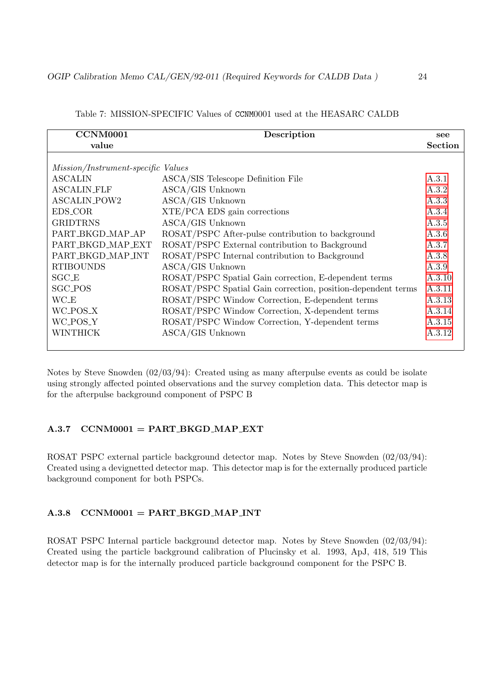| <b>CCNM0001</b>                    | Description                                                  | see            |
|------------------------------------|--------------------------------------------------------------|----------------|
| value                              |                                                              | <b>Section</b> |
|                                    |                                                              |                |
| Mission/Instrument-specific Values |                                                              |                |
| <b>ASCALIN</b>                     | ASCA/SIS Telescope Definition File                           | A.3.1          |
| <b>ASCALIN_FLF</b>                 | ASCA/GIS Unknown                                             | A.3.2          |
| <b>ASCALIN_POW2</b>                | ASCA/GIS Unknown                                             | A.3.3          |
| EDS_COR                            | ${\rm XTE/PCA}$ EDS gain corrections                         | A.3.4          |
| <b>GRIDTRNS</b>                    | ASCA/GIS Unknown                                             | A.3.5          |
| PART_BKGD_MAP_AP                   | ROSAT/PSPC After-pulse contribution to background            | A.3.6          |
| PART_BKGD_MAP_EXT                  | ROSAT/PSPC External contribution to Background               | A.3.7          |
| PART_BKGD_MAP_INT                  | ROSAT/PSPC Internal contribution to Background               | A.3.8          |
| <b>RTIBOUNDS</b>                   | $\operatorname{ASCA}/\!\operatorname{GIS}$ Unknown           | A.3.9          |
| $SGC_E$                            | ROSAT/PSPC Spatial Gain correction, E-dependent terms        | A.3.10         |
| <b>SGC_POS</b>                     | ROSAT/PSPC Spatial Gain correction, position-dependent terms | A.3.11         |
| <b>WC_E</b>                        | ROSAT/PSPC Window Correction, E-dependent terms              | A.3.13         |
| WC_POS_X                           | ROSAT/PSPC Window Correction, X-dependent terms              | A.3.14         |
| WC_POS_Y                           | ROSAT/PSPC Window Correction, Y-dependent terms              | A.3.15         |
| WINTHICK                           | ASCA/GIS Unknown                                             | A.3.12         |
|                                    |                                                              |                |

Table 7: MISSION-SPECIFIC Values of CCNM0001 used at the HEASARC CALDB

Notes by Steve Snowden (02/03/94): Created using as many afterpulse events as could be isolate using strongly affected pointed observations and the survey completion data. This detector map is for the afterpulse background component of PSPC B

#### <span id="page-23-0"></span> $A.3.7$  CCNM0001 = PART BKGD MAP EXT

ROSAT PSPC external particle background detector map. Notes by Steve Snowden (02/03/94): Created using a devignetted detector map. This detector map is for the externally produced particle background component for both PSPCs.

#### <span id="page-23-1"></span> $A.3.8$  CCNM0001 = PART BKGD MAP INT

ROSAT PSPC Internal particle background detector map. Notes by Steve Snowden (02/03/94): Created using the particle background calibration of Plucinsky et al. 1993, ApJ, 418, 519 This detector map is for the internally produced particle background component for the PSPC B.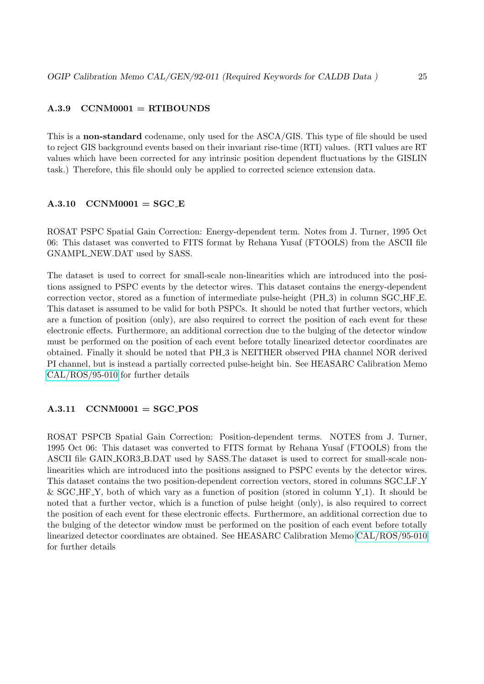#### <span id="page-24-0"></span> $A.3.9$  CCNM0001 = RTIBOUNDS

This is a non-standard codename, only used for the ASCA/GIS. This type of file should be used to reject GIS background events based on their invariant rise-time (RTI) values. (RTI values are RT values which have been corrected for any intrinsic position dependent fluctuations by the GISLIN task.) Therefore, this file should only be applied to corrected science extension data.

#### <span id="page-24-1"></span> $A.3.10$   $CCNM0001 = SGC_E$

ROSAT PSPC Spatial Gain Correction: Energy-dependent term. Notes from J. Turner, 1995 Oct 06: This dataset was converted to FITS format by Rehana Yusaf (FTOOLS) from the ASCII file GNAMPL NEW.DAT used by SASS.

The dataset is used to correct for small-scale non-linearities which are introduced into the positions assigned to PSPC events by the detector wires. This dataset contains the energy-dependent correction vector, stored as a function of intermediate pulse-height (PH 3) in column SGC HF E. This dataset is assumed to be valid for both PSPCs. It should be noted that further vectors, which are a function of position (only), are also required to correct the position of each event for these electronic effects. Furthermore, an additional correction due to the bulging of the detector window must be performed on the position of each event before totally linearized detector coordinates are obtained. Finally it should be noted that PH 3 is NEITHER observed PHA channel NOR derived PI channel, but is instead a partially corrected pulse-height bin. See HEASARC Calibration Memo [CAL/ROS/95-010](/docs/heasarc/caldb/caldb_docs_rosat.html) for further details

#### <span id="page-24-2"></span> $A.3.11$  CCNM0001 = SGC\_POS

ROSAT PSPCB Spatial Gain Correction: Position-dependent terms. NOTES from J. Turner, 1995 Oct 06: This dataset was converted to FITS format by Rehana Yusaf (FTOOLS) from the ASCII file GAIN KOR3 B.DAT used by SASS.The dataset is used to correct for small-scale nonlinearities which are introduced into the positions assigned to PSPC events by the detector wires. This dataset contains the two position-dependent correction vectors, stored in columns SGC LF Y & SGC\_HF\_Y, both of which vary as a function of position (stored in column  $Y_1$ ). It should be noted that a further vector, which is a function of pulse height (only), is also required to correct the position of each event for these electronic effects. Furthermore, an additional correction due to the bulging of the detector window must be performed on the position of each event before totally linearized detector coordinates are obtained. See HEASARC Calibration Memo [CAL/ROS/95-010](/docs/heasarc/caldb/caldb_docs_rosat.html) for further details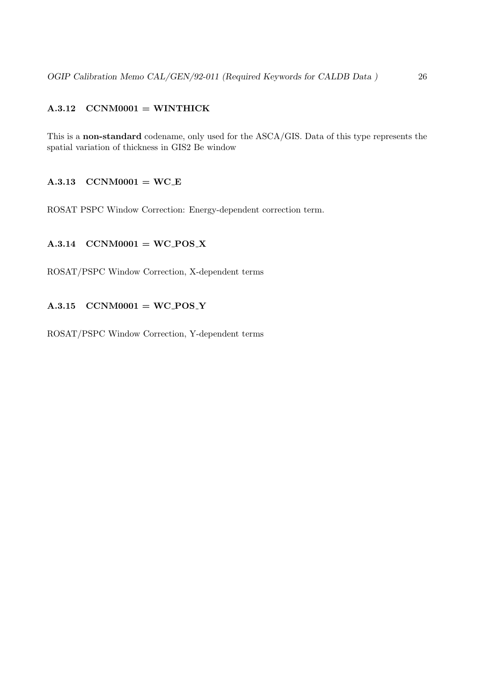# <span id="page-25-0"></span> $A.3.12$  CCNM0001 = WINTHICK

This is a non-standard codename, only used for the ASCA/GIS. Data of this type represents the spatial variation of thickness in GIS2 Be window

#### <span id="page-25-1"></span> $A.3.13$  CCNM0001 = WC\_E

ROSAT PSPC Window Correction: Energy-dependent correction term.

# <span id="page-25-2"></span> $A.3.14$  CCNM0001 = WC\_POS\_X

ROSAT/PSPC Window Correction, X-dependent terms

#### <span id="page-25-3"></span> $A.3.15$  CCNM0001 = WC\_POS\_Y

ROSAT/PSPC Window Correction, Y-dependent terms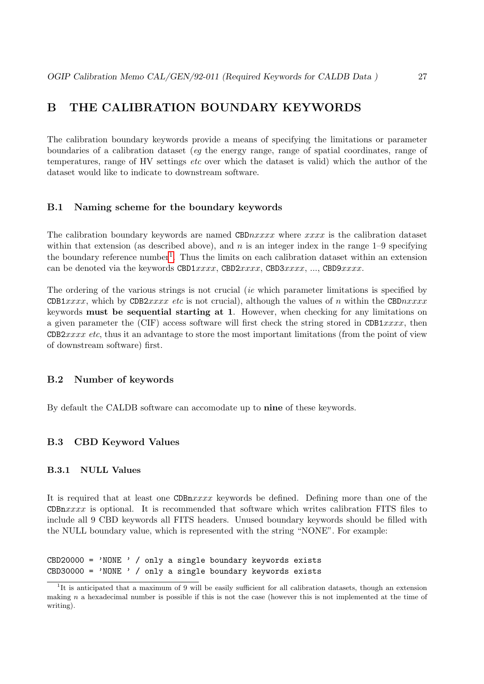# <span id="page-26-0"></span>B THE CALIBRATION BOUNDARY KEYWORDS

The calibration boundary keywords provide a means of specifying the limitations or parameter boundaries of a calibration dataset (eg the energy range, range of spatial coordinates, range of temperatures, range of HV settings *etc* over which the dataset is valid) which the author of the dataset would like to indicate to downstream software.

#### <span id="page-26-1"></span>B.1 Naming scheme for the boundary keywords

The calibration boundary keywords are named CBD $nxxxx$  where  $xxxx$  is the calibration dataset within that extension (as described above), and  $n$  is an integer index in the range 1–9 specifying the boundary reference number<sup>[1](#page-26-5)</sup>. Thus the limits on each calibration dataset within an extension can be denoted via the keywords CBD1 $xxxx$ , CBD2 $xxxx$ , CBD3 $xxxx$ , ..., CBD9 $xxxx$ .

The ordering of the various strings is not crucial (ie which parameter limitations is specified by CDB1xxxx, which by CDB2xxxx etc is not crucial), although the values of n within the CBDnxxxx keywords must be sequential starting at 1. However, when checking for any limitations on a given parameter the (CIF) access software will first check the string stored in CDB1xxxx, then CDB2xxxx etc, thus it an advantage to store the most important limitations (from the point of view of downstream software) first.

#### <span id="page-26-2"></span>B.2 Number of keywords

By default the CALDB software can accomodate up to nine of these keywords.

#### <span id="page-26-3"></span>B.3 CBD Keyword Values

#### <span id="page-26-4"></span>B.3.1 NULL Values

It is required that at least one  $CDBnxxxx$  keywords be defined. Defining more than one of the CDBn $xxxx$  is optional. It is recommended that software which writes calibration FITS files to include all 9 CBD keywords all FITS headers. Unused boundary keywords should be filled with the NULL boundary value, which is represented with the string "NONE". For example:

CBD20000 =  $'$ NONE  $'$  / only a single boundary keywords exists  $CBD30000 = 'NONE ' / only a single boundary keywords exists$ 

<span id="page-26-5"></span><sup>&</sup>lt;sup>1</sup>It is anticipated that a maximum of 9 will be easily sufficient for all calibration datasets, though an extension making  $n$  a hexadecimal number is possible if this is not the case (however this is not implemented at the time of writing).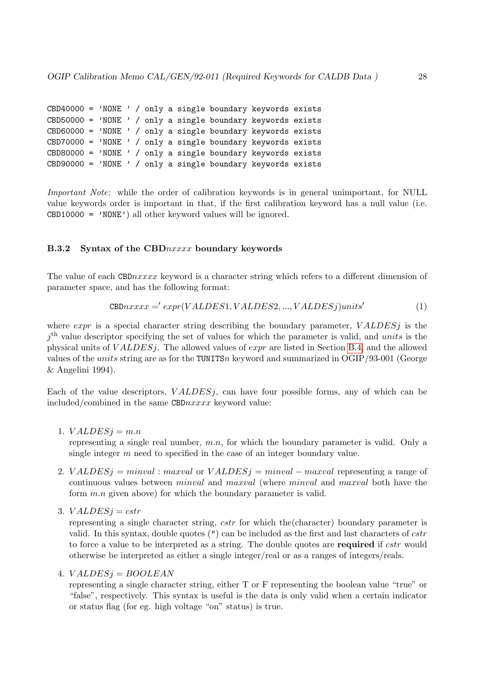CBD40000 =  $'$ NONE  $'$  / only a single boundary keywords exists CBD50000 =  $'$ NONE  $'$  / only a single boundary keywords exists CBD60000 =  $'$ NONE  $'$  / only a single boundary keywords exists CBD70000 =  $'$ NONE  $'$  / only a single boundary keywords exists CBD80000 =  $'$ NONE  $'$  / only a single boundary keywords exists CBD90000 = 'NONE ' / only a single boundary keywords exists

Important Note: while the order of calibration keywords is in general unimportant, for NULL value keywords order is important in that, if the first calibration keyword has a null value (i.e.  $CBD10000 = 'NONE')$  all other keyword values will be ignored.

#### <span id="page-27-0"></span>B.3.2 Syntax of the CBDnxxxx boundary keywords

The value of each CBD $\eta x x x x$  keyword is a character string which refers to a different dimension of parameter space, and has the following format:

$$
CBDnxxxx = 'expr(VALDES1, VALDES2, ..., VALDESj) units'
$$
\n(1)

where expr is a special character string describing the boundary parameter,  $VALDESi$  is the  $j<sup>th</sup>$  value descriptor specifying the set of values for which the parameter is valid, and units is the physical units of  $VALDESj$ . The allowed values of  $expr$  are listed in Section [B.4,](#page-28-1) and the allowed values of the *units* string are as for the TUNITSn keyword and summarized in OGIP/93-001 (George & Angelini 1994).

Each of the value descriptors,  $VALDESi$ , can have four possible forms, any of which can be included/combined in the same CBD $\eta x x x x$  keyword value:

1.  $VALDESi = m.n$ 

representing a single real number,  $m.n$ , for which the boundary parameter is valid. Only a single integer  $m$  need to specified in the case of an integer boundary value.

- 2. VALDESj = minval : maxval or VALDESj = minval maxval representing a range of continuous values between minval and maxval (where minval and maxval both have the form  $m.n$  given above) for which the boundary parameter is valid.
- 3.  $VALDESi = cstr$

representing a single character string, *cstr* for which the (character) boundary parameter is valid. In this syntax, double quotes  $(")$  can be included as the first and last characters of  $cstr$ to force a value to be interpreted as a string. The double quotes are required if *cstr* would otherwise be interpreted as either a single integer/real or as a ranges of integers/reals.

#### 4.  $VALDESi = BOOLEAN$

representing a single character string, either T or F representing the boolean value "true" or "false", respectively. This syntax is useful is the data is only valid when a certain indicator or status flag (for eg. high voltage "on" status) is true.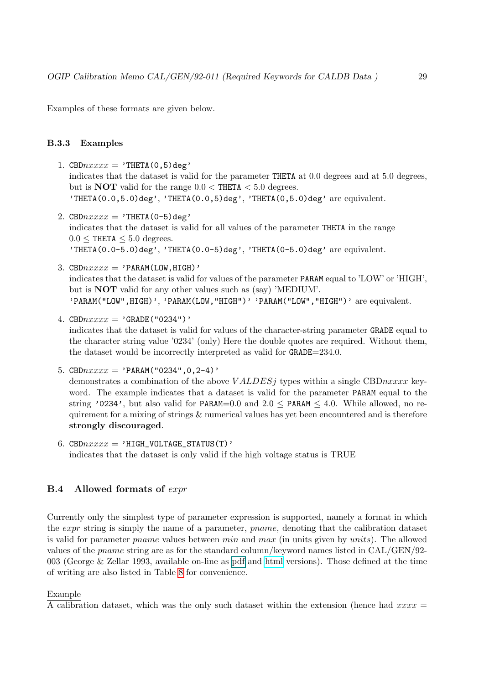Examples of these formats are given below.

#### <span id="page-28-0"></span>B.3.3 Examples

- 1. CBD $nxxxx = 'THETA(0,5)deg'$ indicates that the dataset is valid for the parameter THETA at 0.0 degrees and at 5.0 degrees, but is **NOT** valid for the range  $0.0 <$  THETA  $< 5.0$  degrees. 'THETA $(0.0, 5.0)$ deg', 'THETA $(0.0, 5)$ deg', 'THETA $(0, 5.0)$ deg' are equivalent.
- 2. CBD $nxxxx = 'THETA(0-5)deg'$ indicates that the dataset is valid for all values of the parameter THETA in the range  $0.0 \leq$  THETA  $\leq 5.0$  degrees. 'THETA $(0.0-5.0)$ deg', 'THETA $(0.0-5)$ deg', 'THETA $(0-5.0)$ deg' are equivalent.
- 3. CBD $nxxxx$  = 'PARAM(LOW, HIGH)' indicates that the dataset is valid for values of the parameter PARAM equal to 'LOW' or 'HIGH', but is NOT valid for any other values such as (say) 'MEDIUM'. 'PARAM("LOW", HIGH)', 'PARAM(LOW, "HIGH")' 'PARAM("LOW", "HIGH")' are equivalent.
- 4. CBD $nxxxx = 'GRADE('0234'')'$ indicates that the dataset is valid for values of the character-string parameter GRADE equal to the character string value '0234' (only) Here the double quotes are required. Without them, the dataset would be incorrectly interpreted as valid for GRADE=234.0.

```
5. CBDnxxxx = 'PARM('0234'', 0, 2-4)'demonstrates a combination of the above VALDESj types within a single CBDnxxx key-
   word. The example indicates that a dataset is valid for the parameter PARAM equal to the
  string '0234', but also valid for PARAM=0.0 and 2.0 \leq PARAM \leq 4.0. While allowed, no re-
  quirement for a mixing of strings \& numerical values has yet been encountered and is therefore
  strongly discouraged.
```
6. CBD $nxxxx =$  'HIGH\_VOLTAGE\_STATUS(T)' indicates that the dataset is only valid if the high voltage status is TRUE

#### <span id="page-28-1"></span>B.4 Allowed formats of expr

Currently only the simplest type of parameter expression is supported, namely a format in which the *expr* string is simply the name of a parameter, *pname*, denoting that the calibration dataset is valid for parameter *pname* values between  $min$  and  $max$  (in units given by units). The allowed values of the pname string are as for the standard column/keyword names listed in CAL/GEN/92- 003 (George & Zellar 1993, available on-line as [pdf](#page-0-0) and [html](/docs/heasarc/caldb/docs/memos/cal_gen_92_003/cal_gen_92_003.html) versions). Those defined at the time of writing are also listed in Table [8](#page-29-0) for convenience.

#### Example

A calibration dataset, which was the only such dataset within the extension (hence had  $xxxx =$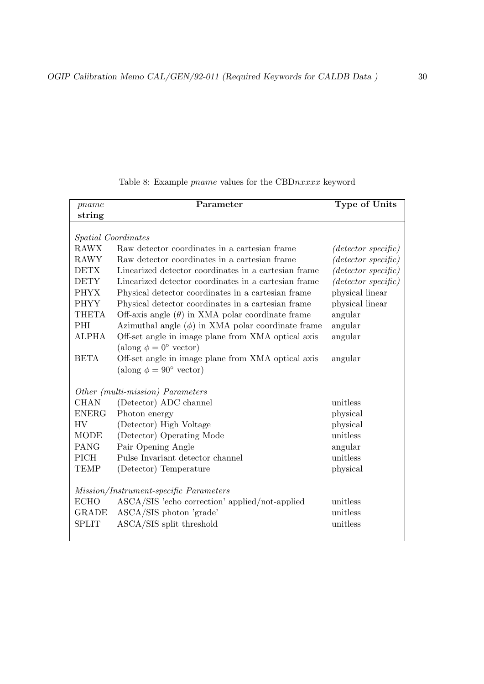| pname                      | Parameter                                               | Type of Units          |
|----------------------------|---------------------------------------------------------|------------------------|
| string                     |                                                         |                        |
|                            |                                                         |                        |
| <i>Spatial Coordinates</i> |                                                         |                        |
| <b>RAWX</b>                | Raw detector coordinates in a cartesian frame           | $(detector\ specific)$ |
| <b>RAWY</b>                | Raw detector coordinates in a cartesian frame           | $(detector\ specific)$ |
| <b>DETX</b>                | Linearized detector coordinates in a cartesian frame    | $(detector\ specific)$ |
| <b>DETY</b>                | Linearized detector coordinates in a cartesian frame    | $(detector\ specific)$ |
| <b>PHYX</b>                | Physical detector coordinates in a cartesian frame      | physical linear        |
| <b>PHYY</b>                | Physical detector coordinates in a cartesian frame      | physical linear        |
| <b>THETA</b>               | Off-axis angle $(\theta)$ in XMA polar coordinate frame | angular                |
| PHI                        | Azimuthal angle $(\phi)$ in XMA polar coordinate frame  | angular                |
| <b>ALPHA</b>               | Off-set angle in image plane from XMA optical axis      | angular                |
|                            | (along $\phi = 0^{\circ}$ vector)                       |                        |
| <b>BETA</b>                | Off-set angle in image plane from XMA optical axis      | angular                |
|                            | (along $\phi = 90^{\circ}$ vector)                      |                        |
|                            |                                                         |                        |
|                            | Other (multi-mission) Parameters                        |                        |
| <b>CHAN</b>                | (Detector) ADC channel                                  | unitless               |
| <b>ENERG</b>               | Photon energy                                           | physical               |
| <b>HV</b>                  | (Detector) High Voltage                                 | physical               |
| <b>MODE</b>                | (Detector) Operating Mode                               | unitless               |
| PANG                       | Pair Opening Angle                                      | angular                |
| <b>PICH</b>                | Pulse Invariant detector channel                        | unitless               |
| <b>TEMP</b>                | (Detector) Temperature                                  | physical               |
|                            |                                                         |                        |
|                            | Mission/Instrument-specific Parameters                  |                        |
| <b>ECHO</b>                | ASCA/SIS 'echo correction' applied/not-applied          | unitless               |
| <b>GRADE</b>               | ASCA/SIS photon 'grade'                                 | unitless               |
| <b>SPLIT</b>               | ASCA/SIS split threshold                                | unitless               |
|                            |                                                         |                        |

<span id="page-29-0"></span>Table 8: Example *pname* values for the CBDnxxxx keyword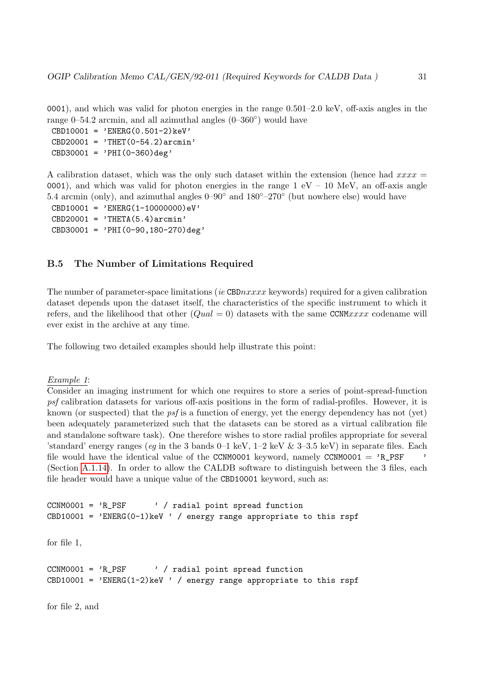0001), and which was valid for photon energies in the range 0.501–2.0 keV, off-axis angles in the range 0–54.2 arcmin, and all azimuthal angles  $(0-360°)$  would have

 $CBD10001 = 'ENERG(0.501-2)keV'$  $CBD20001 = 'THET(0-54.2) arcmin'$  $CBD30001 = 'PHI(0-360)deg'$ 

A calibration dataset, which was the only such dataset within the extension (hence had  $xxxx =$ 0001), and which was valid for photon energies in the range  $1 \text{ eV} - 10 \text{ MeV}$ , an off-axis angle 5.4 arcmin (only), and azimuthal angles  $0-90°$  and  $180°-270°$  (but nowhere else) would have

CBD10001 = 'ENERG(1-10000000)eV'  $CBD20001 = 'THETA(5.4) arcmin'$  $CBD30001 = 'PHI(0-90, 180-270)deg'$ 

#### <span id="page-30-0"></span>B.5 The Number of Limitations Required

The number of parameter-space limitations (ie CBD $nxxxx$  keywords) required for a given calibration dataset depends upon the dataset itself, the characteristics of the specific instrument to which it refers, and the likelihood that other  $(Quad = 0)$  datasets with the same CCNMxxxx codename will ever exist in the archive at any time.

The following two detailed examples should help illustrate this point:

#### Example 1:

Consider an imaging instrument for which one requires to store a series of point-spread-function psf calibration datasets for various off-axis positions in the form of radial-profiles. However, it is known (or suspected) that the psf is a function of energy, yet the energy dependency has not (yet) been adequately parameterized such that the datasets can be stored as a virtual calibration file and standalone software task). One therefore wishes to store radial profiles appropriate for several 'standard' energy ranges (eq in the 3 bands  $0-1$  keV,  $1-2$  keV  $\&$  3-3.5 keV) in separate files. Each file would have the identical value of the CCNM0001 keyword, namely CCNM0001 =  $R_P$ SF (Section [A.1.14\)](#page-16-0). In order to allow the CALDB software to distinguish between the 3 files, each file header would have a unique value of the CBD10001 keyword, such as:

```
CCNM0001 = 'R_PSF ' / radial point spread function
CBD10001 = 'ENERG(0-1)keV ' / energy range appropriate to this rspf
for file 1,
```

```
CCNM0001 = 'R_PSF ' / radial point spread function
CBD10001 = 'ENERG(1-2)keV ' / energy range appropriate to this rspf
```
for file 2, and